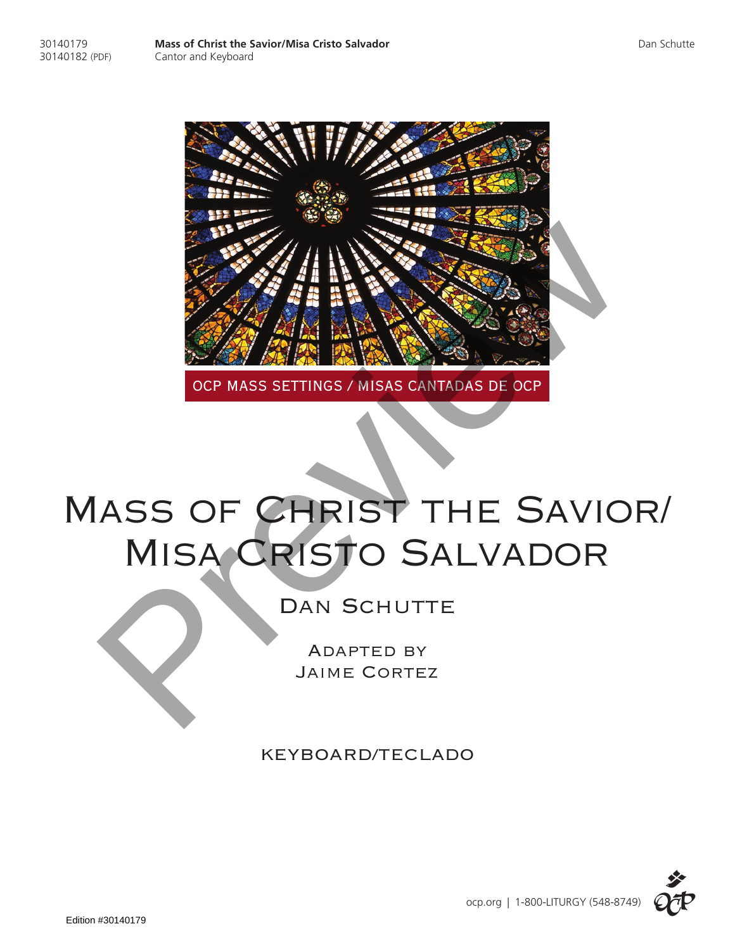

# Mass of Christ the Savior/ Misa Cristo Salvador

DAN SCHUTTE

Adapted by

KEYBOARD/TECLADO

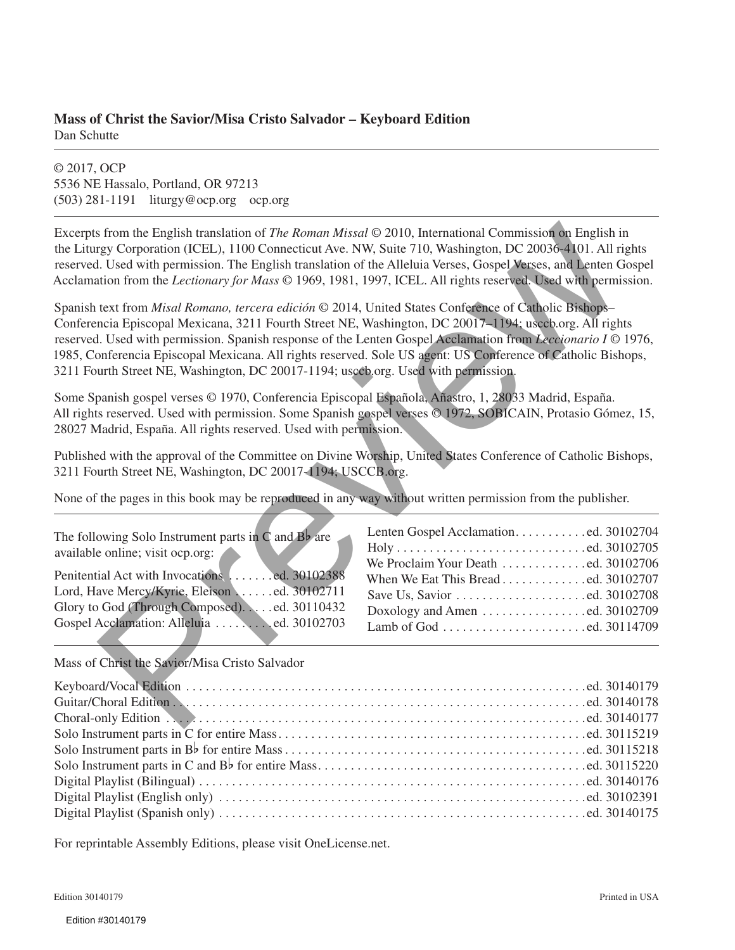### **Mass of Christ the Savior/Misa Cristo Salvador – Keyboard Edition** Dan Schutte

### © 2017, OCP 5536 NE Hassalo, Portland, OR 97213 (503) 281-1191 liturgy@ocp.org ocp.org

Excerpts from the English translation of *The Roman Missal* © 2010, International Commission on English in the Liturgy Corporation (ICEL), 1100 Connecticut Ave. NW, Suite 710, Washington, DC 20036-4101. All rights reserved. Used with permission. The English translation of the Alleluia Verses, Gospel Verses, and Lenten Gospel Acclamation from the *Lectionary for Mass* © 1969, 1981, 1997, ICEL. All rights reserved. Used with permission.

Spanish text from *Misal Romano, tercera edición* © 2014, United States Conference of Catholic Bishops– Conferencia Episcopal Mexicana, 3211 Fourth Street NE, Washington, DC 20017–1194; usccb.org. All rights reserved. Used with permission. Spanish response of the Lenten Gospel Acclamation from *Leccionario I* © 1976, 1985, Conferencia Episcopal Mexicana. All rights reserved. Sole US agent: US Conference of Catholic Bishops, 3211 Fourth Street NE, Washington, DC 20017-1194; usccb.org. Used with permission. Es from the English translation of The Roman Missal (2010), International Commission on English in<br>
d. Used with permission. The English translation of the Allehia Verses, Gospel Verses, and 1. All rights<br>
d. Used with per

Some Spanish gospel verses © 1970, Conferencia Episcopal Española, Añastro, 1, 28033 Madrid, España. All rights reserved. Used with permission. Some Spanish gospel verses © 1972, SOBICAIN, Protasio Gómez, 15, 28027 Madrid, España. All rights reserved. Used with permission.

Published with the approval of the Committee on Divine Worship, United States Conference of Catholic Bishops, 3211 Fourth Street NE, Washington, DC 20017-1194; USCCB.org.

None of the pages in this book may be reproduced in any way without written permission from the publisher.

| The following Solo Instrument parts in C and $B\flat$ are |               |
|-----------------------------------------------------------|---------------|
| available online; visit ocp.org:                          |               |
| Donitontial Act with Invocational                         | $ad$ 20102288 |

Penitential Act with Invocations ......ed. 30102388 Lord, Have Mercy/Kyrie, Eleison  $\dots$  ed. 30102711 Glory to God (Through Composed).....ed. 30110432 Gospel Acclamation: Alleluia . . . . . . . . . ed. 30102703

| Lenten Gospel Acclamationed. 30102704                    |  |
|----------------------------------------------------------|--|
|                                                          |  |
| We Proclaim Your Death $\dots \dots \dots$ ed. 30102706  |  |
| When We Eat This Breaded. 30102707                       |  |
|                                                          |  |
| Doxology and Amen $\dots \dots \dots \dots$ ed. 30102709 |  |
|                                                          |  |
|                                                          |  |

Mass of Christ the Savior/Misa Cristo Salvador

For reprintable Assembly Editions, please visit OneLicense.net.

Edition 30140179 Printed in USA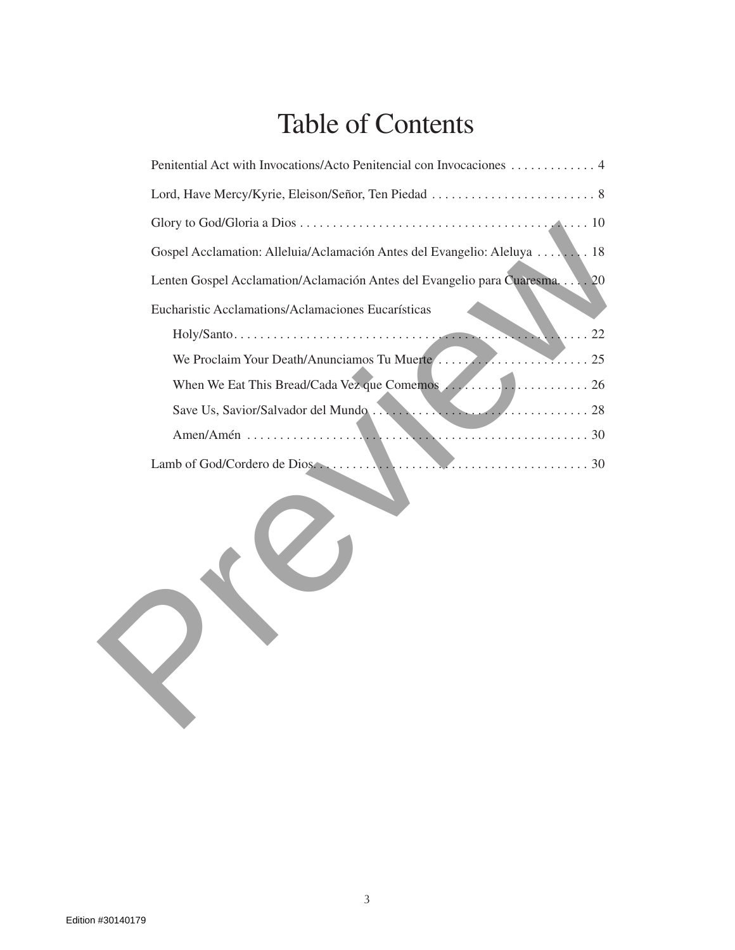## Table of Contents

| Lenten Gospel Acclamation/Aclamación Antes del Evangelio para Cuaresma 20 |
|---------------------------------------------------------------------------|
| Eucharistic Acclamations/Aclamaciones Eucarísticas                        |
|                                                                           |
| We Proclaim Your Death/Anunciamos Tu Muerte                               |
| When We Eat This Bread/Cada Vez que Comemos                               |
| Save Us, Savior/Salvador del Mundo                                        |
|                                                                           |
| Lamb of God/Cordero de Dios                                               |
|                                                                           |
|                                                                           |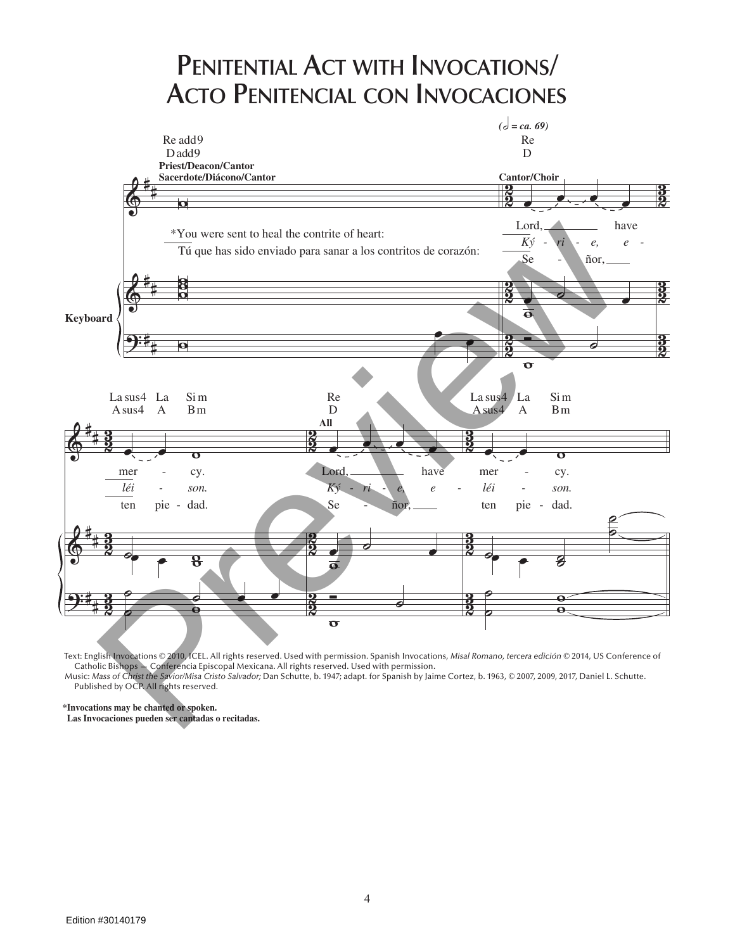### **Penitential Act with Invocations/ Acto Penitencial con Invocaciones**



Text: English Invocations © 2010, ICEL. All rights reserved. Used with permission. Spanish Invocations, *Misal Romano, tercera edición* © 2014, US Conference of Catholic Bishops — Conferencia Episcopal Mexicana. All rights reserved. Used with permission.

Music: *Mass of Christ the Savior/Misa Cristo Salvador;* Dan Schutte, b. 1947; adapt. for Spanish by Jaime Cortez, b. 1963, © 2007, 2009, 2017, Daniel L. Schutte. Published by OCP. All rights reserved.

**\*Invocations may be chanted or spoken.**

**Las Invocaciones pueden ser cantadas o recitadas.**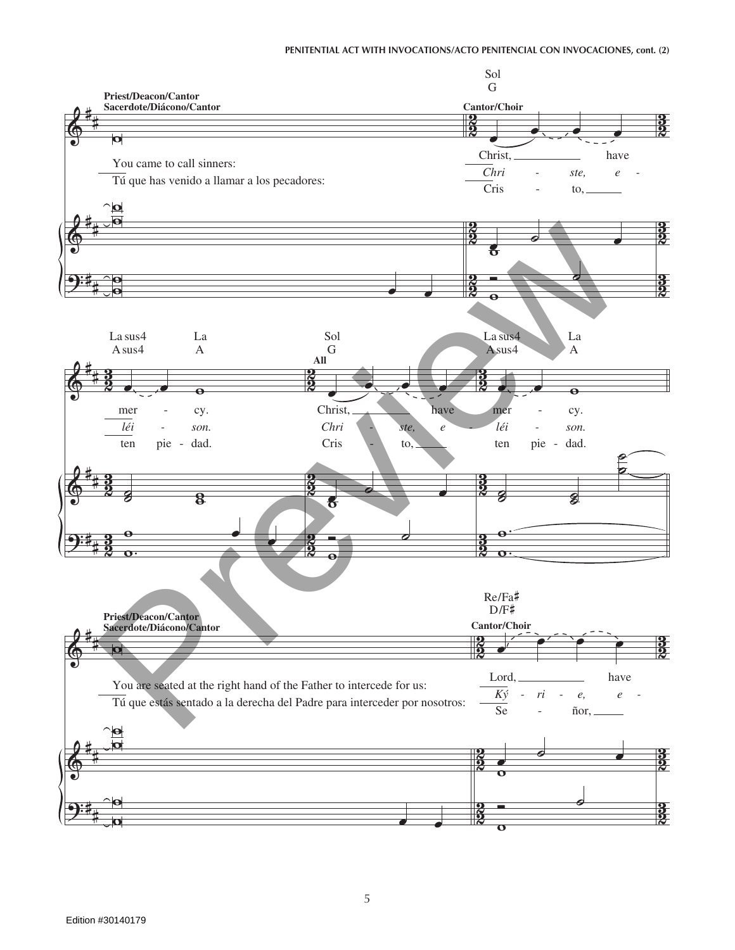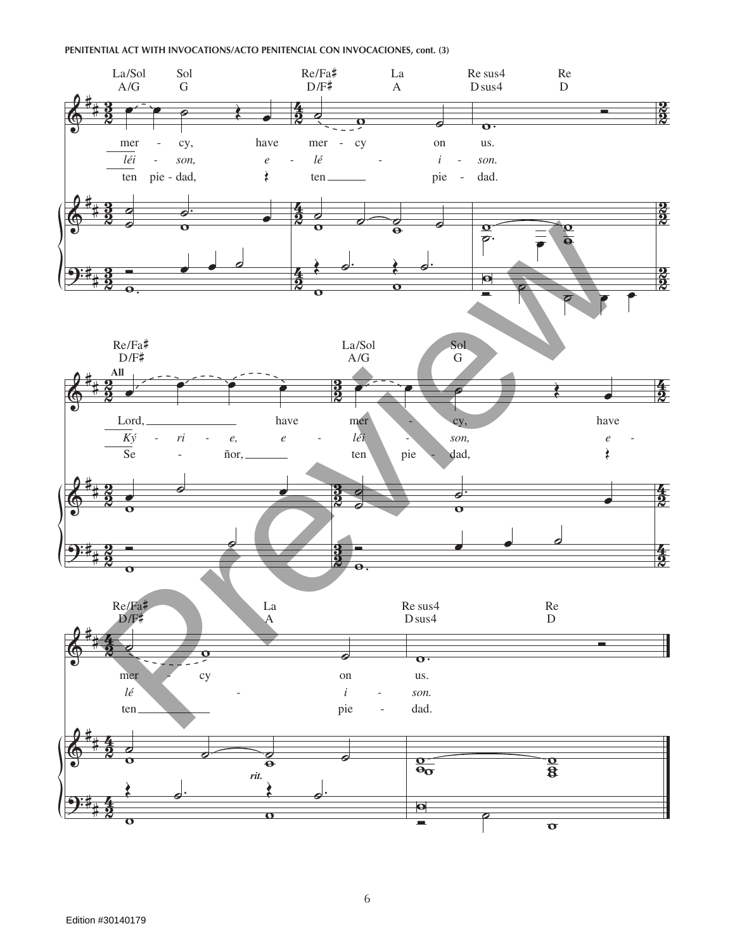**PENITENTIAL ACT WITH INVOCATIONS/ACTO PENITENCIAL CON INVOCACIONES, cont. (3)**

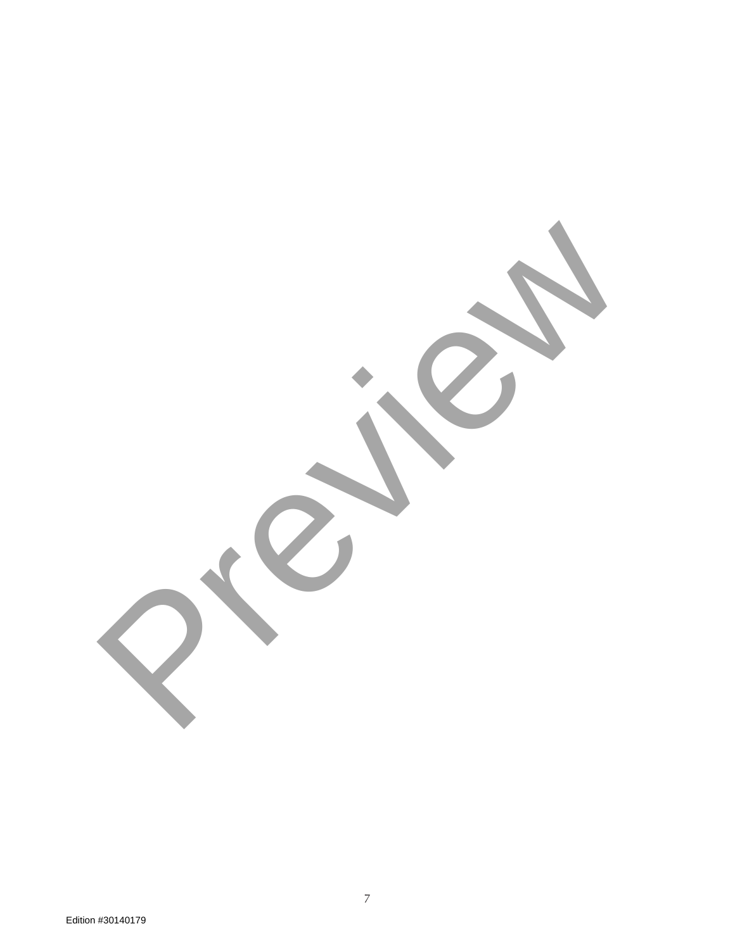Previews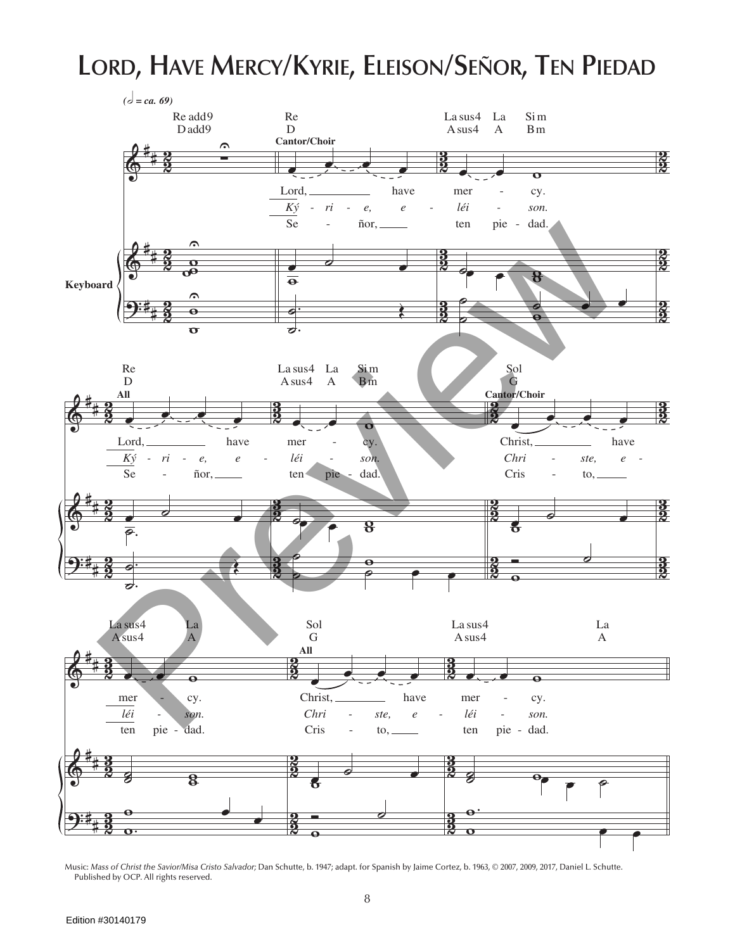# **Lord, Have Mercy/Kyrie, Eleison/Señor, Ten Piedad**



Music: *Mass of Christ the Savior/Misa Cristo Salvador;* Dan Schutte, b. 1947; adapt. for Spanish by Jaime Cortez, b. 1963, © 2007, 2009, 2017, Daniel L. Schutte. Published by OCP. All rights reserved.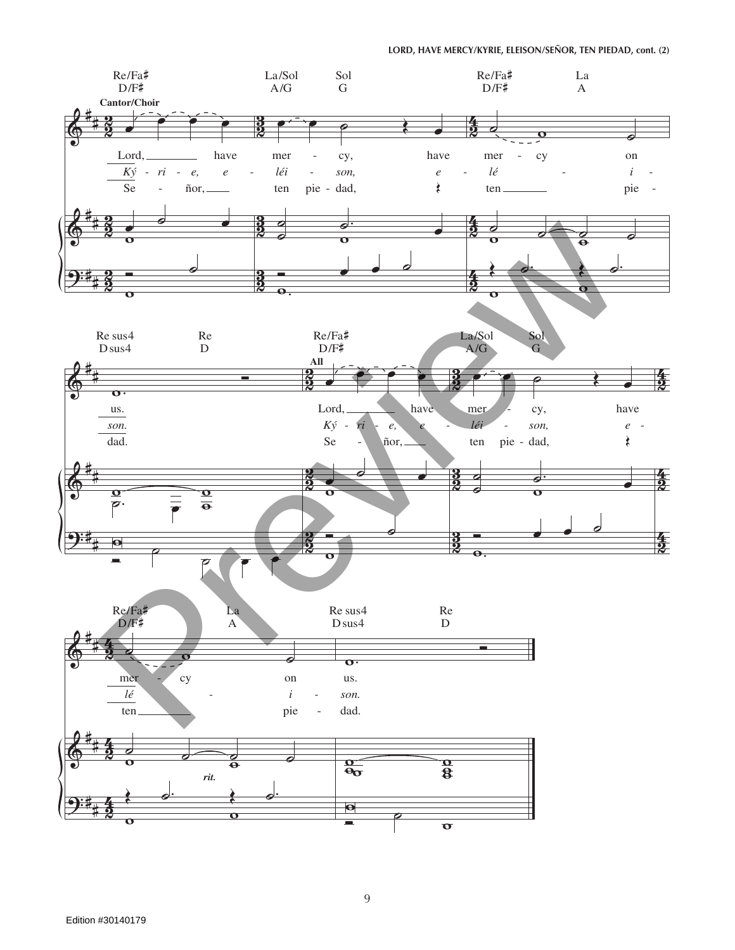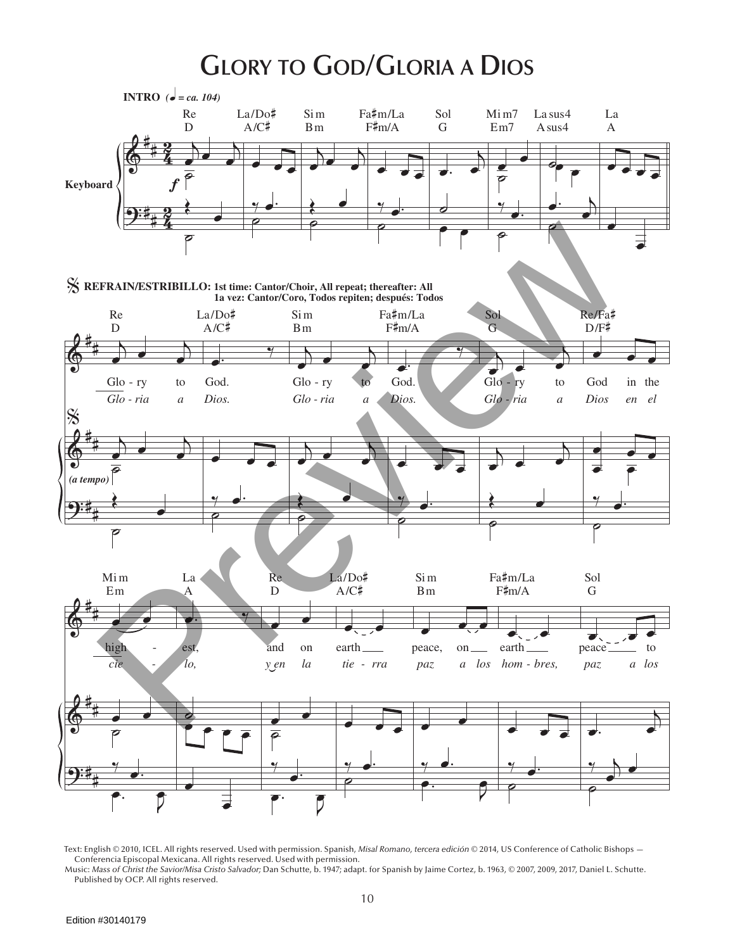## **Glory to God/Gloria a Dios**



Text: English © 2010, ICEL. All rights reserved. Used with permission. Spanish, *Misal Romano, tercera edición* © 2014, US Conference of Catholic Bishops — Conferencia Episcopal Mexicana. All rights reserved. Used with permission.

Music: *Mass of Christ the Savior/Misa Cristo Salvador;* Dan Schutte, b. 1947; adapt. for Spanish by Jaime Cortez, b. 1963, © 2007, 2009, 2017, Daniel L. Schutte. Published by OCP. All rights reserved.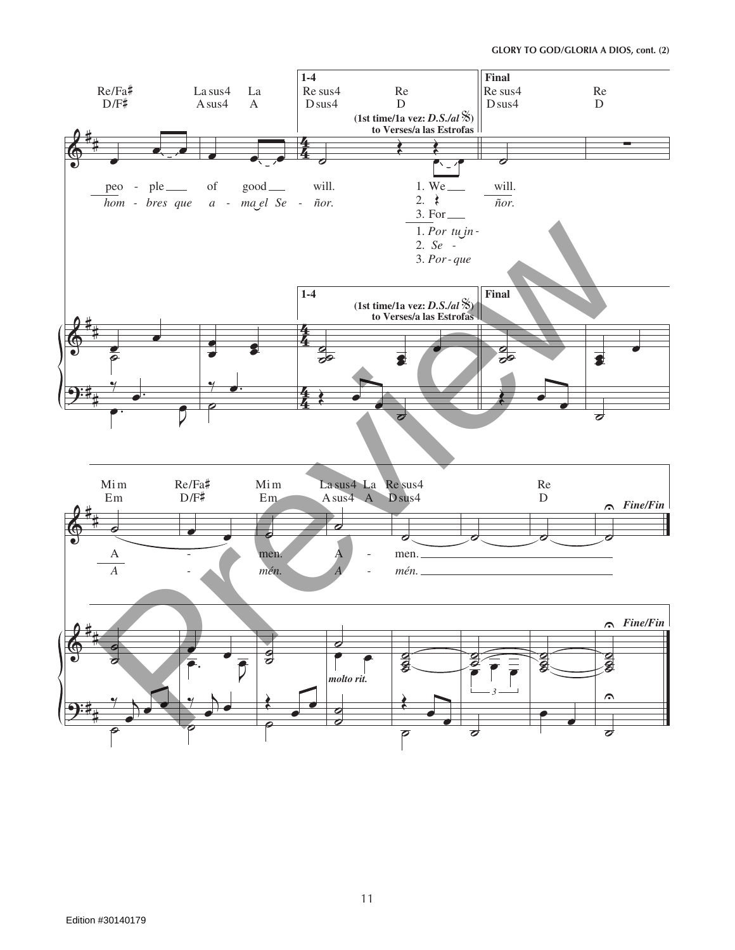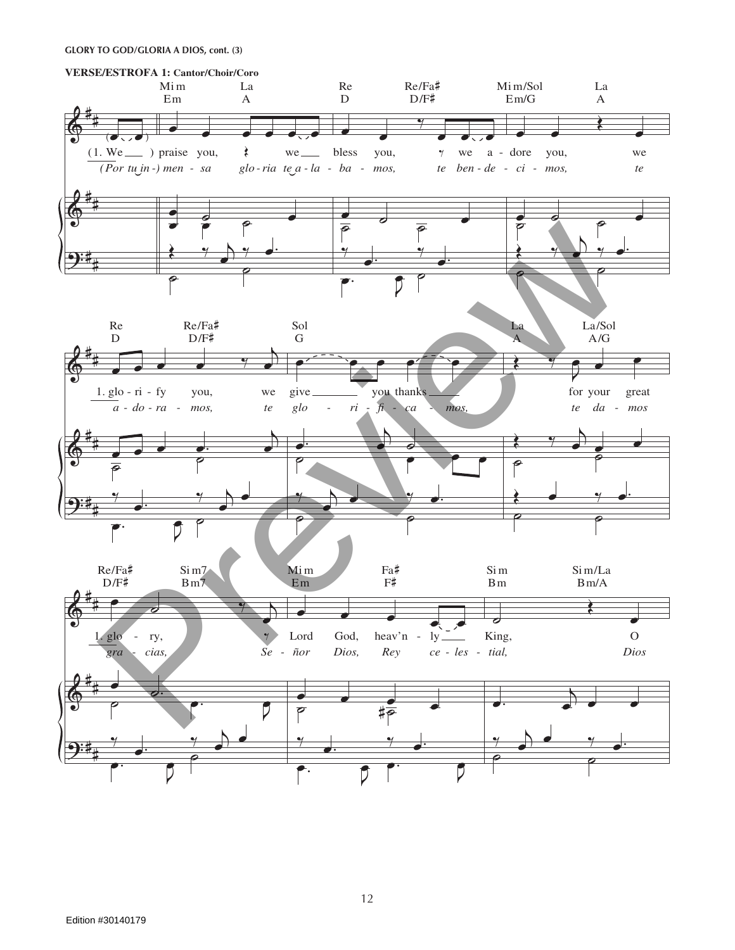#### **GLORY TO GOD/GLORIA A DIOS, cont. (3)**

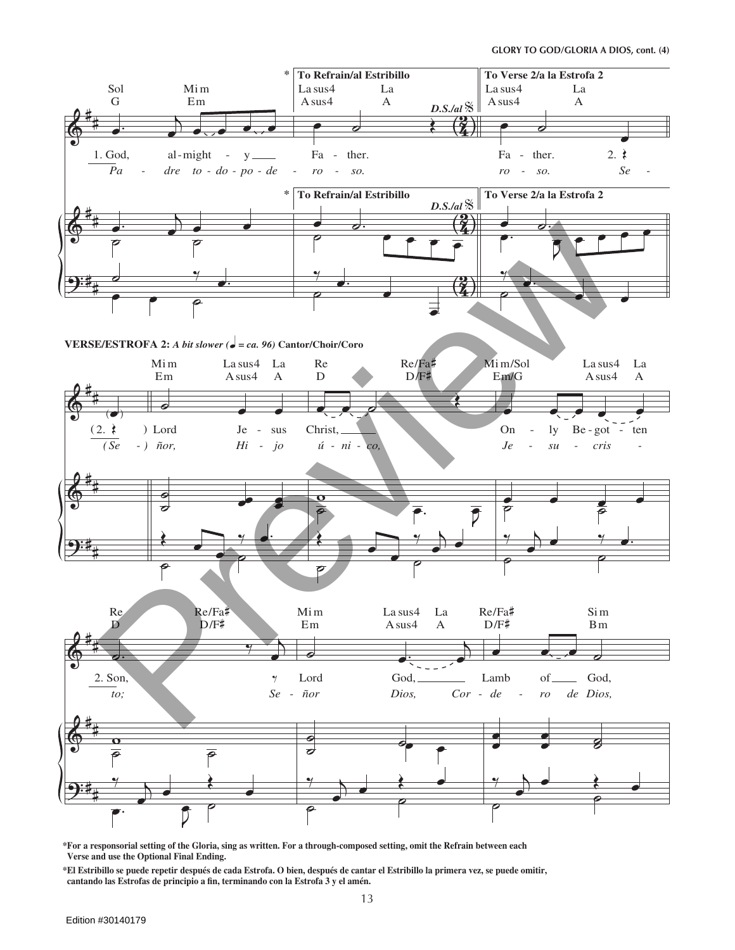**GLORY TO GOD/GLORIA A DIOS, cont. (4)**



**\*For a responsorial setting of the Gloria, sing as written. For a through-composed setting, omit the Refrain between each Verse and use the Optional Final Ending.**

**\*El Estribillo se puede repetir después de cada Estrofa. O bien, después de cantar el Estribillo la primera vez, se puede omitir, cantando las Estrofas de principio a fin, terminando con la Estrofa 3 y el amén.**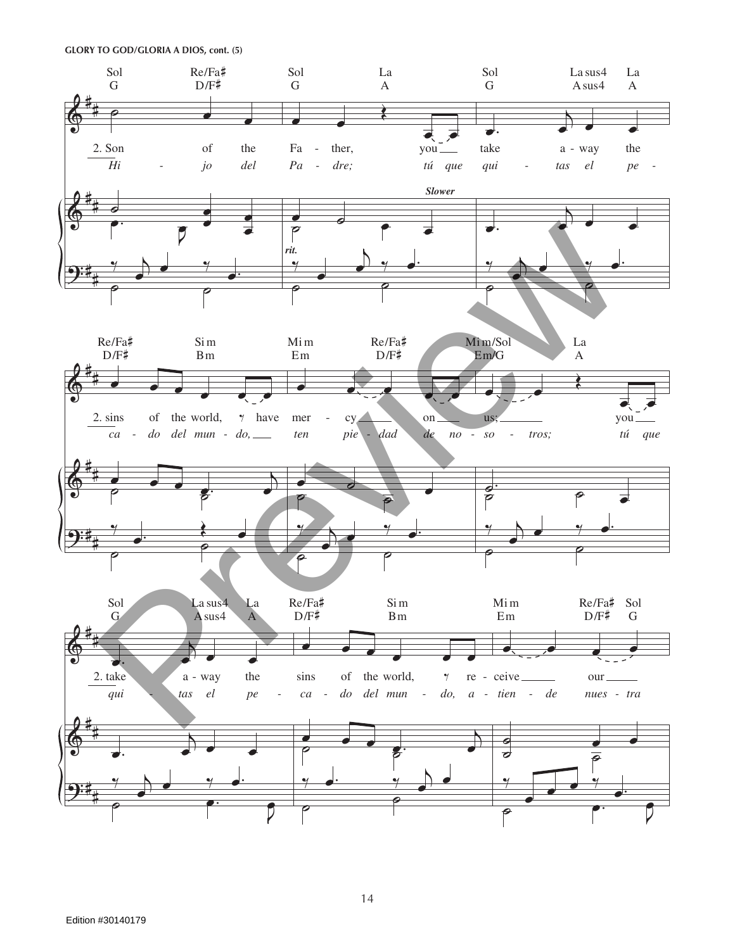**GLORY TO GOD/GLORIA A DIOS, cont. (5)** 

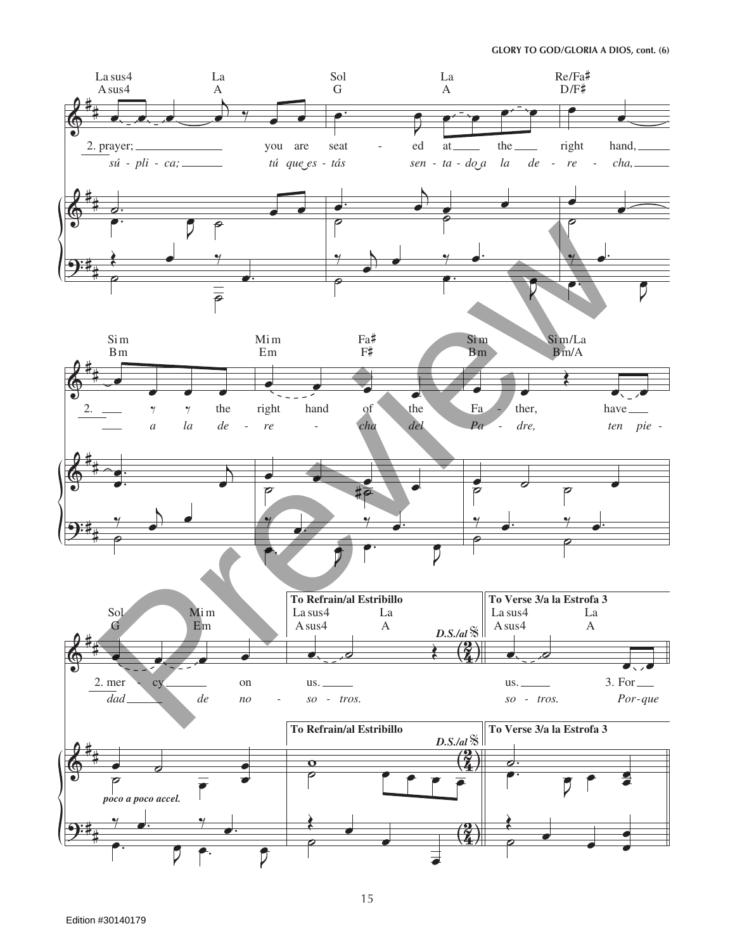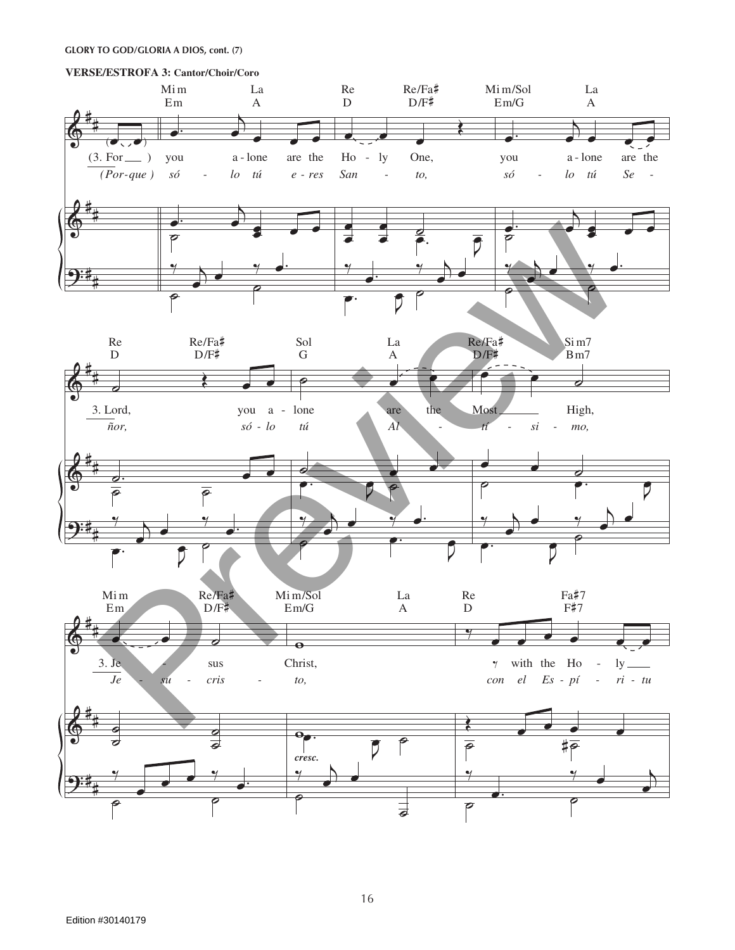#### **GLORY TO GOD/GLORIA A DIOS, cont. (7)**

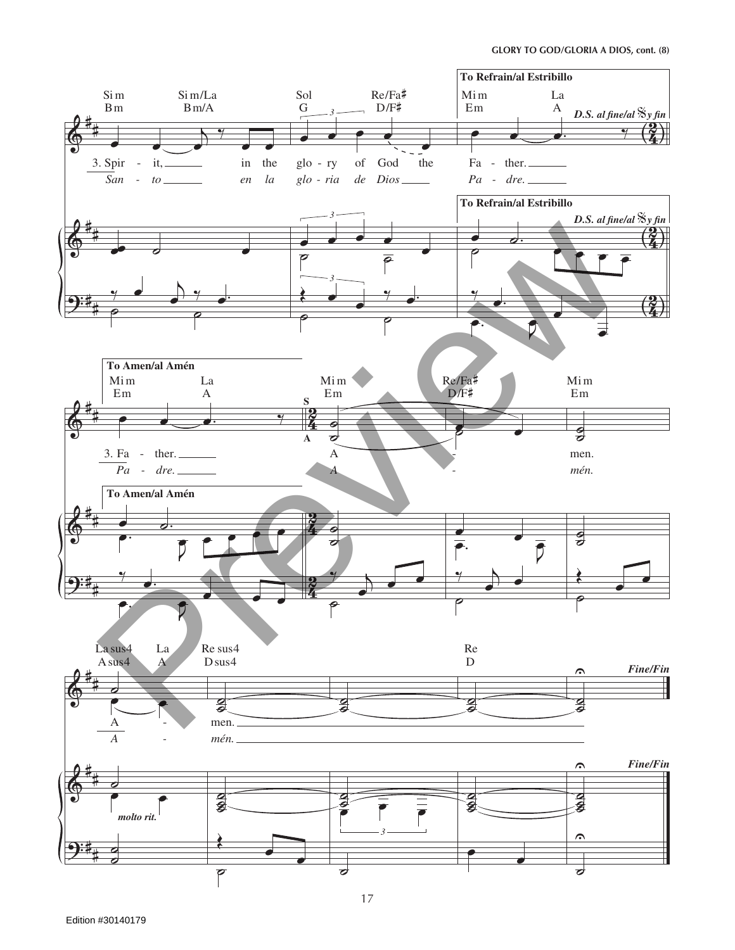**GLORY TO GOD/GLORIA A DIOS, cont. (8)** 

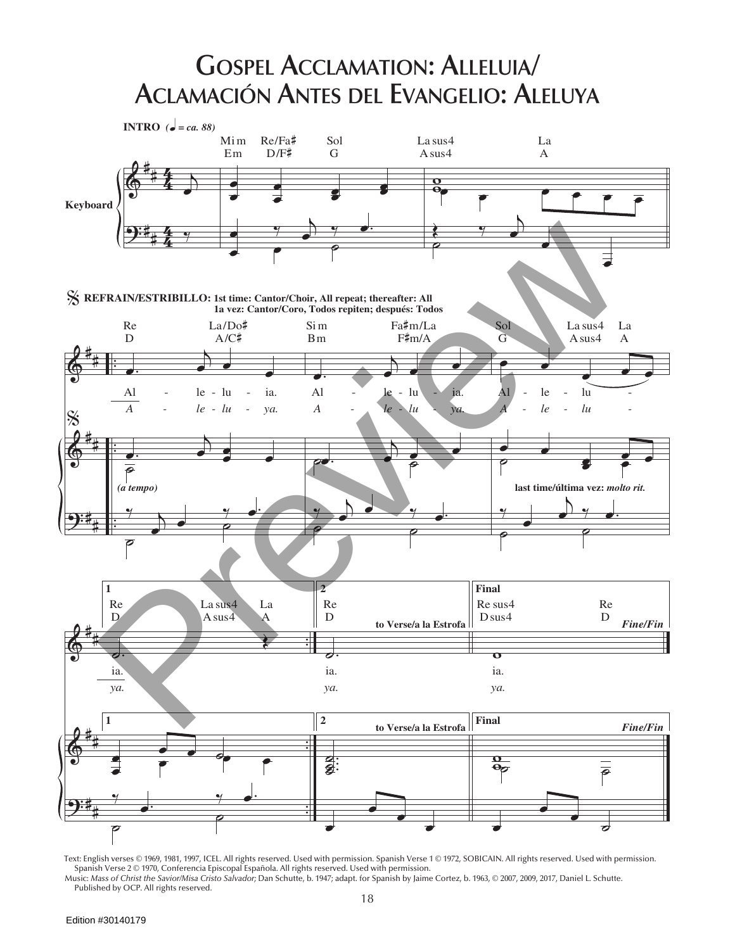### **Gospel Acclamation: Alleluia/ Aclamación Antes del Evangelio: Aleluya**



Text: English verses © 1969, 1981, 1997, ICEL. All rights reserved. Used with permission. Spanish Verse 1 © 1972, SOBICAIN. All rights reserved. Used with permission. Spanish Verse 2 © 1970, Conferencia Episcopal Española. All rights reserved. Used with permission.<br>Music: *Mass of Christ the Savior/Misa Cristo Salvador;* Dan Schutte, b. 1947; adapt. for Spanish by Jaime Cortez, b. 1963,

Published by OCP. All rights reserved.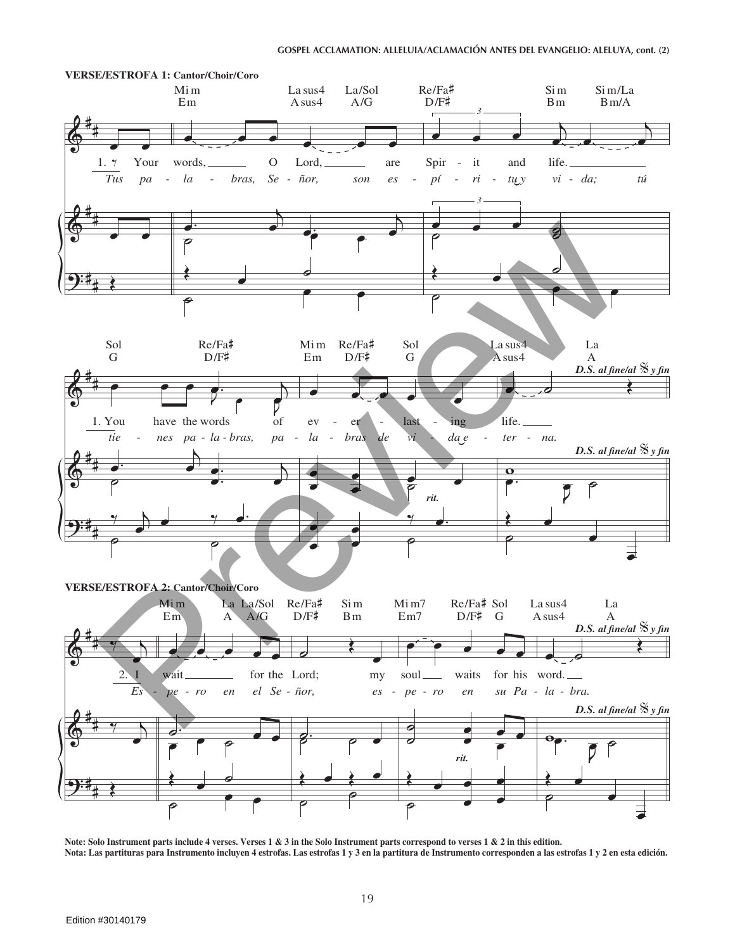

Note: Solo Instrument parts include 4 verses. Verses 1 & 3 in the Solo Instrument parts correspond to verses 1 & 2 in this edition. Nota: Las partituras para Instrumento incluyen 4 estrofas. Las estrofas 1 y 3 en la partitura de Instrumento corresponden a las estrofas 1 y 2 en esta edición.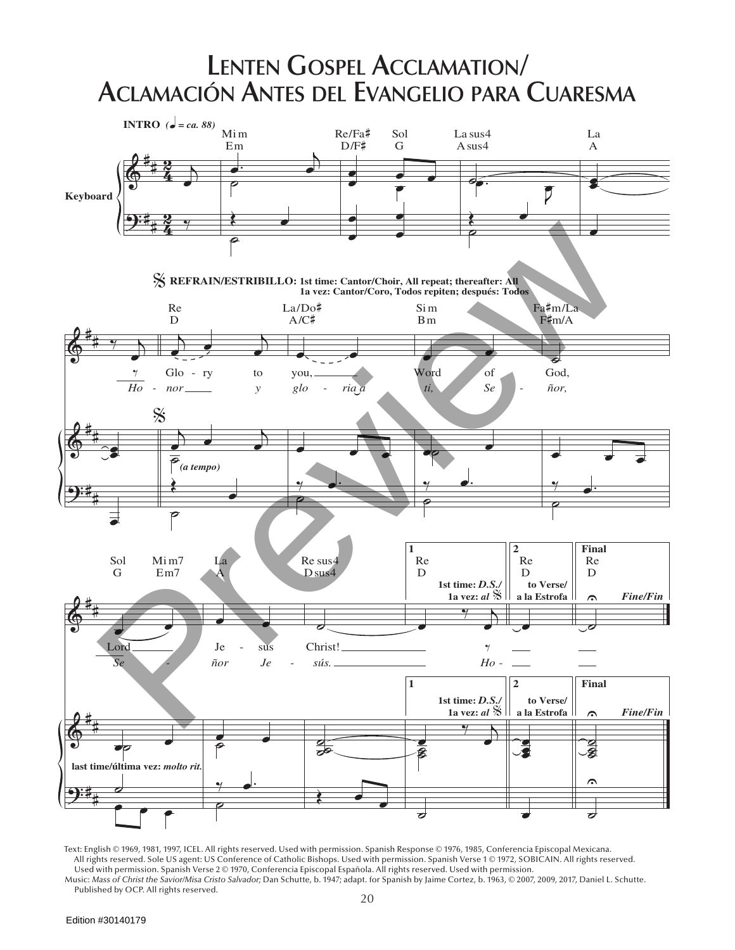

Text: English © 1969, 1981, 1997, ICEL. All rights reserved. Used with permission. Spanish Response © 1976, 1985, Conferencia Episcopal Mexicana. All rights reserved. Sole US agent: US Conference of Catholic Bishops. Used with permission. Spanish Verse 1 © 1972, SOBICAIN. All rights reserved. Used with permission. Spanish Verse 2 © 1970, Conferencia Episcopal Española. All rights reserved. Used with permission.

Music: *Mass of Christ the Savior/Misa Cristo Salvador;* Dan Schutte, b. 1947; adapt. for Spanish by Jaime Cortez, b. 1963, © 2007, 2009, 2017, Daniel L. Schutte. Published by OCP. All rights reserved.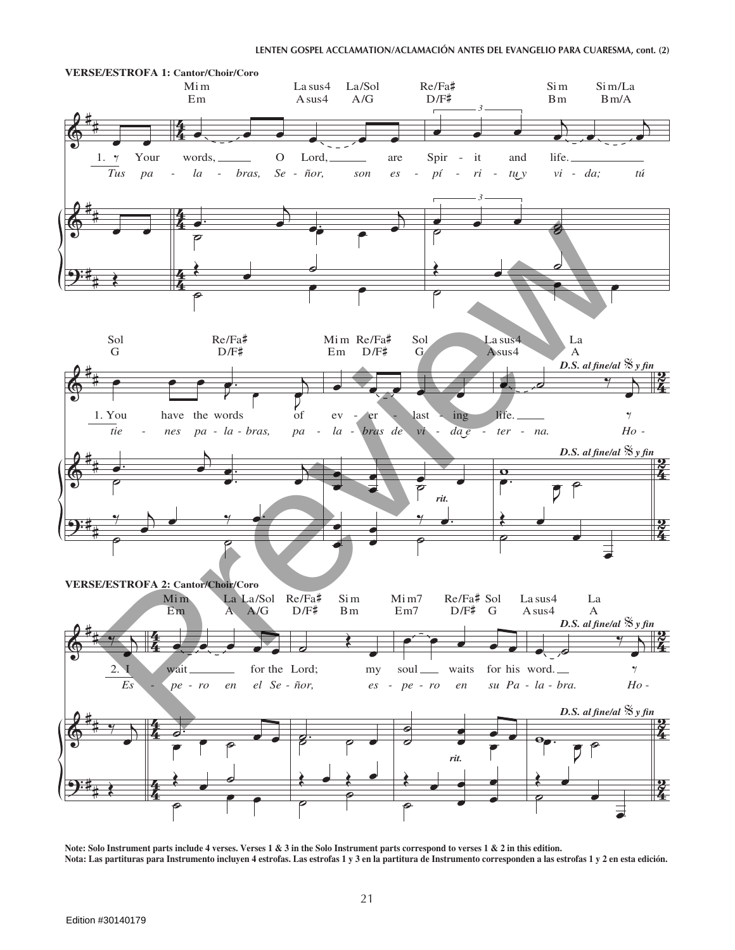

Note: Solo Instrument parts include 4 verses. Verses 1 & 3 in the Solo Instrument parts correspond to verses 1 & 2 in this edition. Nota: Las partituras para Instrumento incluyen 4 estrofas. Las estrofas 1 y 3 en la partitura de Instrumento corresponden a las estrofas 1 y 2 en esta edición.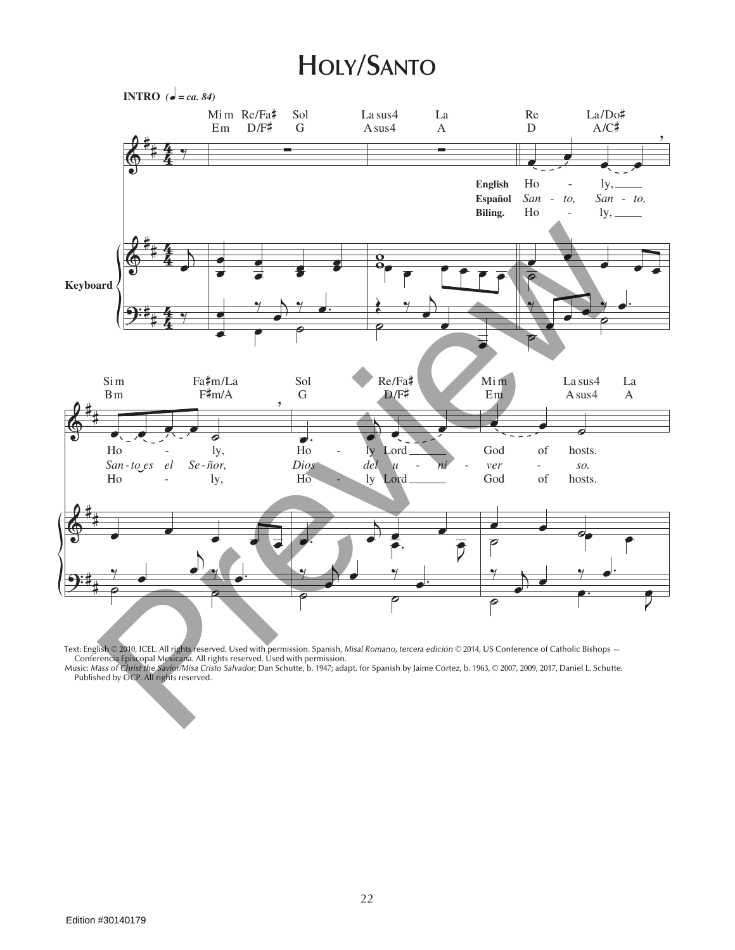## **Holy/Santo**



Text: English © 2010, ICEL. All rights reserved. Used with permission. Spanish, *Misal Romano, tercera edición* © 2014, US Conference of Catholic Bishops — Conferencia Episcopal Mexicana. All rights reserved. Used with permission.<br>Music: *Mass of Christ the Savior/Misa Cristo Salvador;* Dan Schutte, b. 1947; adapt. for Spanish by Jaime Cortez, b. 1963, © 2007, 2009, 2017, Dan

Published by OCP. All rights reserved.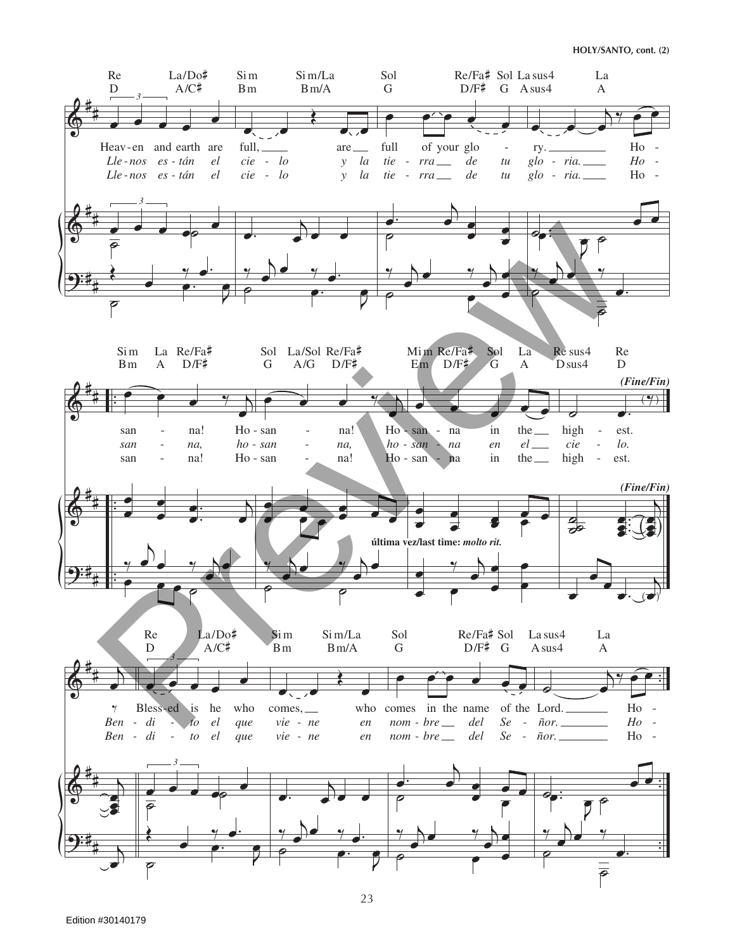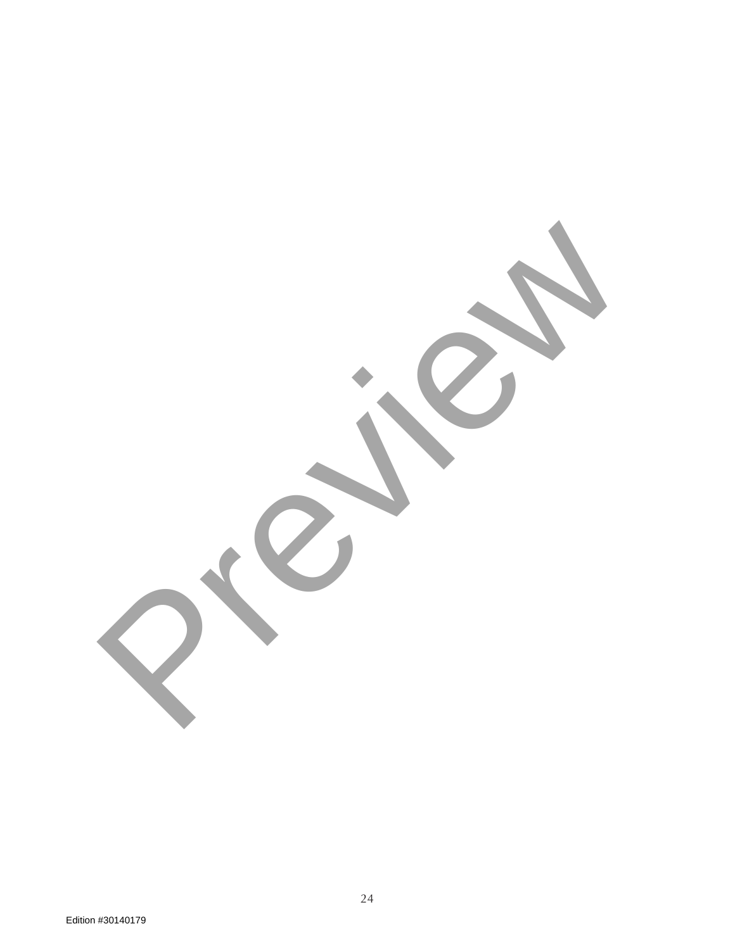Previews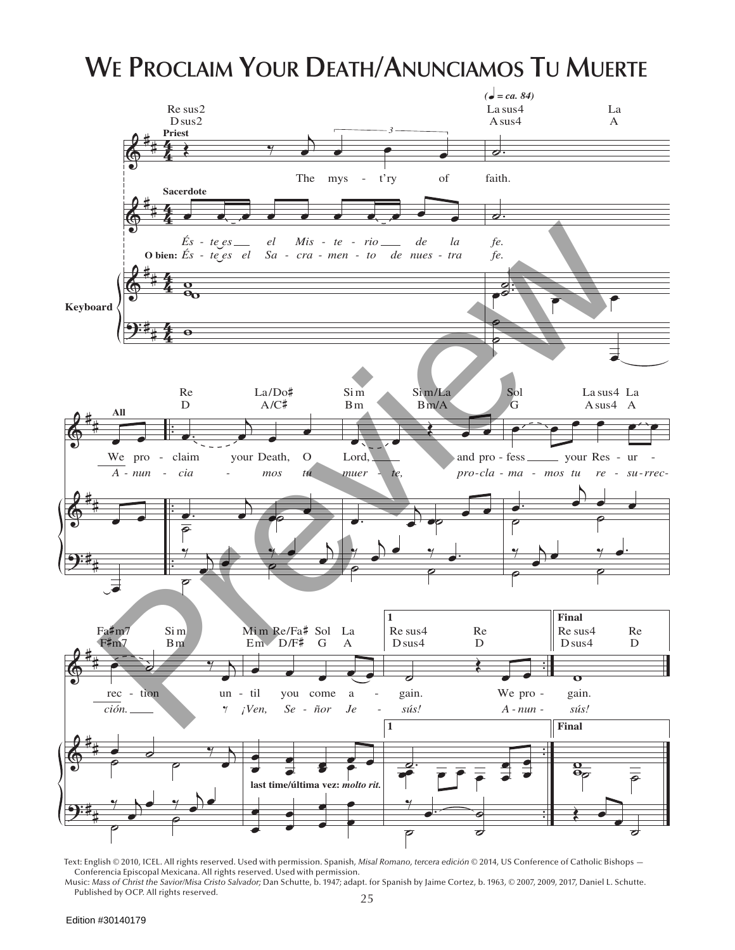### WE PROCLAIM YOUR DEATH/ANUNCIAMOS TU MUERTE



Text: English © 2010, ICEL. All rights reserved. Used with permission. Spanish, Misal Romano, tercera edición © 2014, US Conference of Catholic Bishops -Conferencia Episcopal Mexicana. All rights reserved. Used with permission.

Music: Mass of Christ the Savior/Misa Cristo Salvador; Dan Schutte, b. 1947; adapt. for Spanish by Jaime Cortez, b. 1963, © 2007, 2009, 2017, Daniel L. Schutte. Published by OCP. All rights reserved.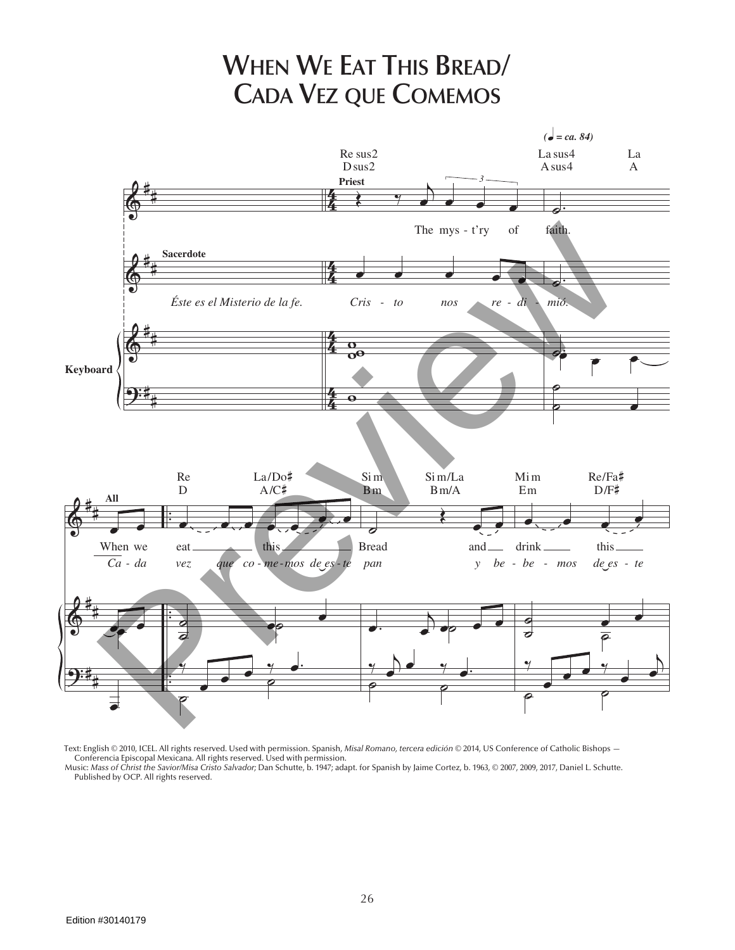## **When We Eat This Bread/ Cada Vez que Comemos**



Text: English © 2010, ICEL. All rights reserved. Used with permission. Spanish, *Misal Romano, tercera edición* © 2014, US Conference of Catholic Bishops —

Conferencia Episcopal Mexicana. All rights reserved. Used with permission.<br>Music: *Mass of Christ the Savior/Misa Cristo Salvador;* Dan Schutte, b. 1947; adapt. for Spanish by Jaime Cortez, b. 1963, © 2007, 2009, 2017, Dan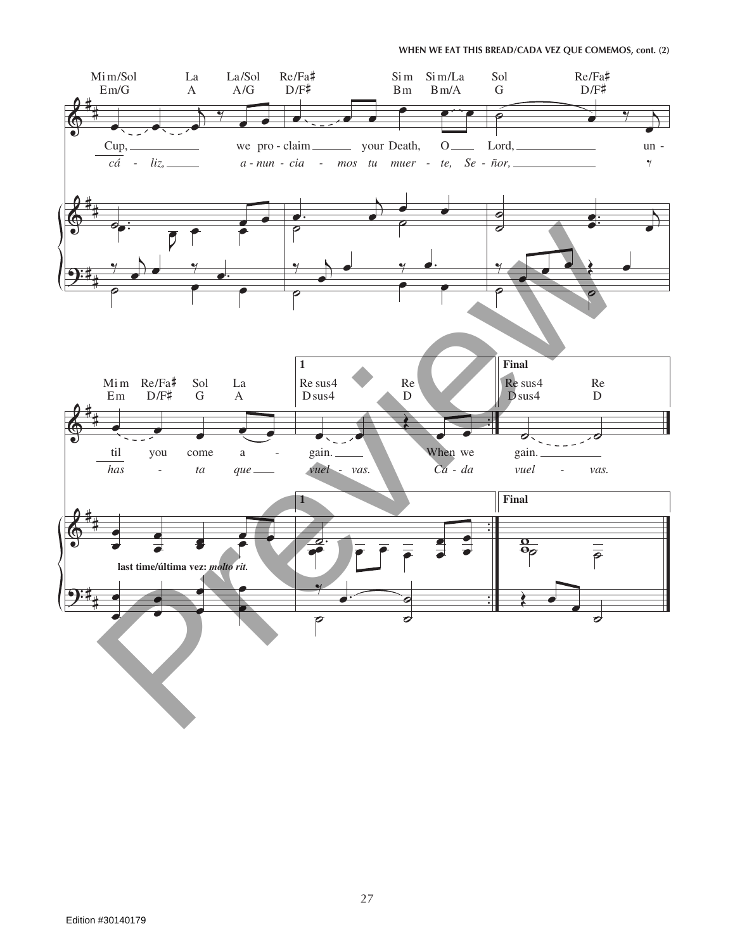#### **WHEN WE EAT THIS BREAD/CADA VEZ QUE COMEMOS, cont. (2)**

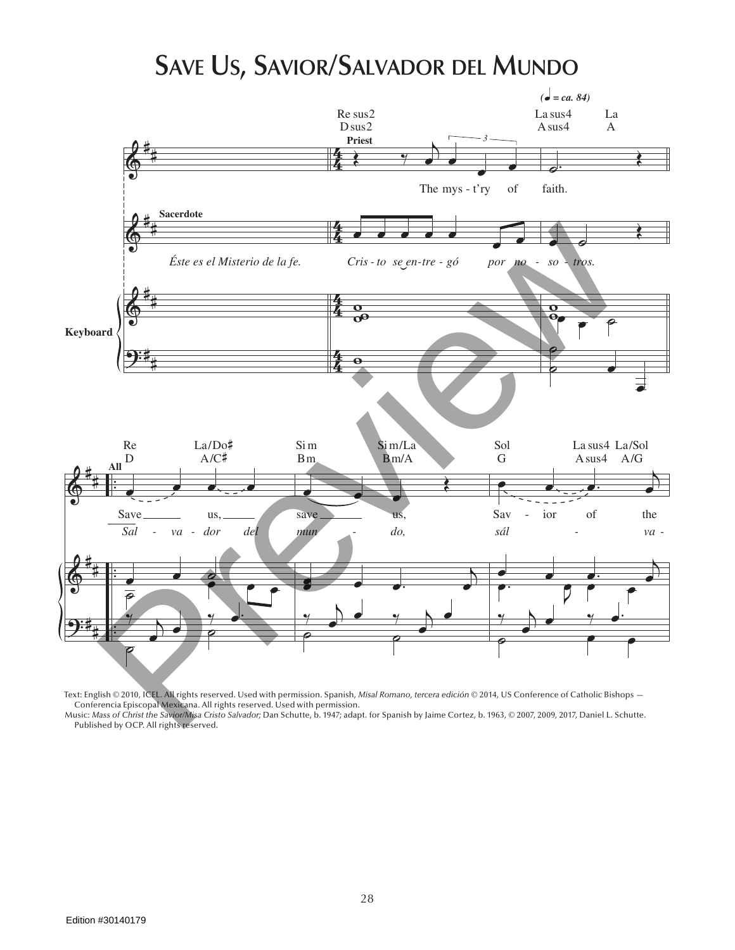### **Save Us, Savior/Salvador del Mundo**



Text: English © 2010, ICEL. All rights reserved. Used with permission. Spanish, *Misal Romano, tercera edición* © 2014, US Conference of Catholic Bishops — Conferencia Episcopal Mexicana. All rights reserved. Used with permission.

Music: *Mass of Christ the Savior/Misa Cristo Salvador;* Dan Schutte, b. 1947; adapt. for Spanish by Jaime Cortez, b. 1963, © 2007, 2009, 2017, Daniel L. Schutte. Published by OCP. All rights reserved.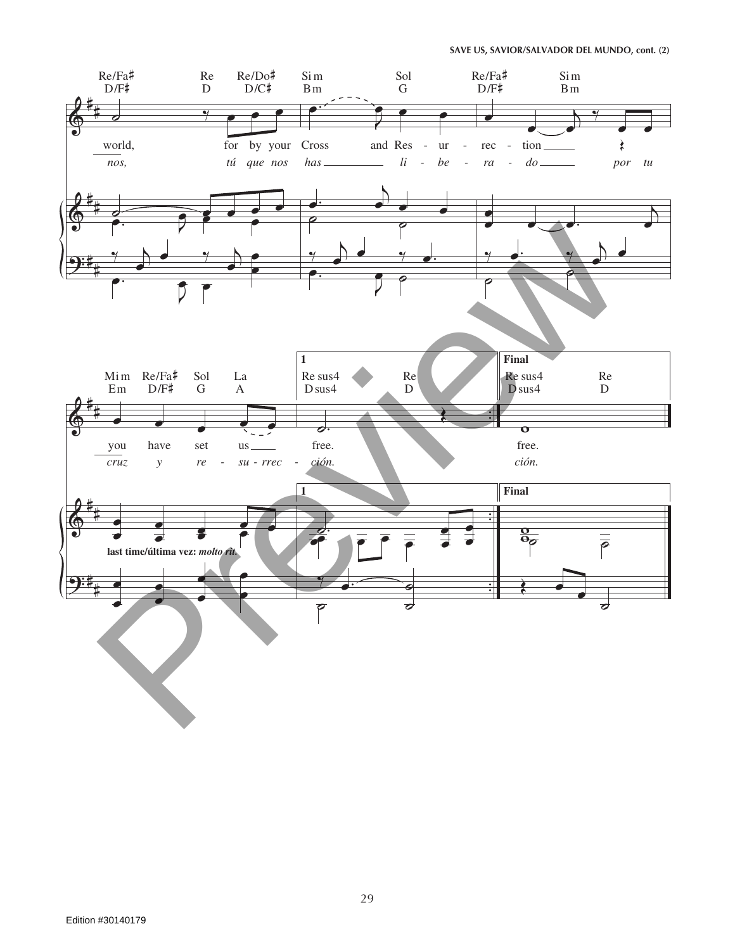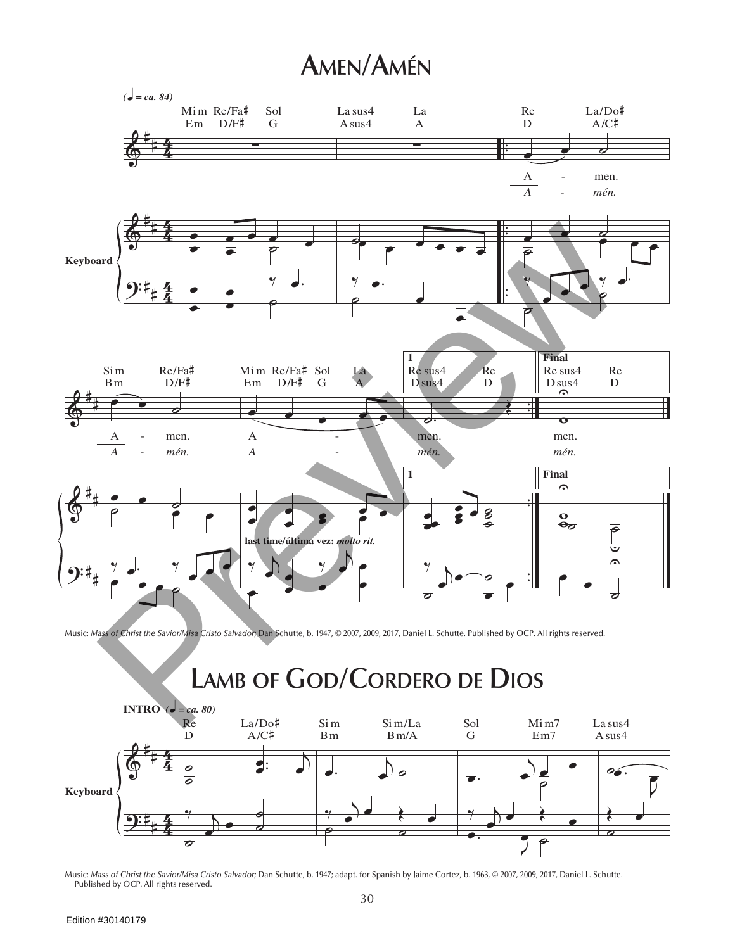### **Amen/Amén**



Published by OCP. All rights reserved. Music: *Mass of Christ the Savior/Misa Cristo Salvador;* Dan Schutte, b. 1947; adapt. for Spanish by Jaime Cortez, b. 1963, © 2007, 2009, 2017, Daniel L. Schutte.<br>Published by OCP. All rights reserved. Sim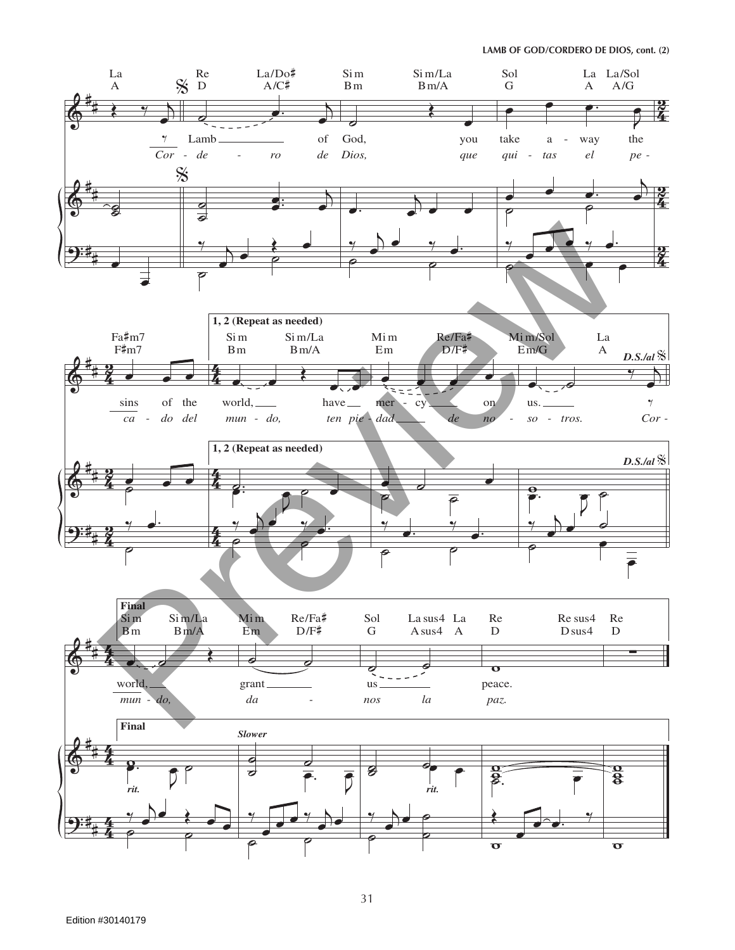LAMB OF GOD/CORDERO DE DIOS, cont. (2)